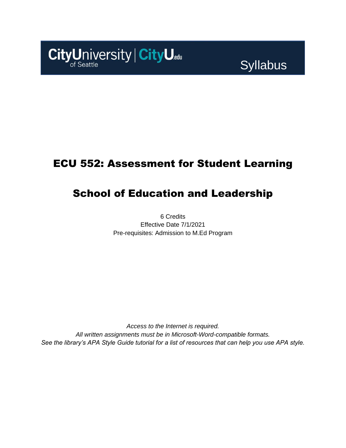

**Syllabus** 

### ECU 552: Assessment for Student Learning

## School of Education and Leadership

6 Credits Effective Date 7/1/2021 Pre-requisites: Admission to M.Ed Program

*Access to the Internet is required. All written assignments must be in Microsoft-Word-compatible formats. See the library's APA Style Guide tutorial for a list of resources that can help you use APA style.*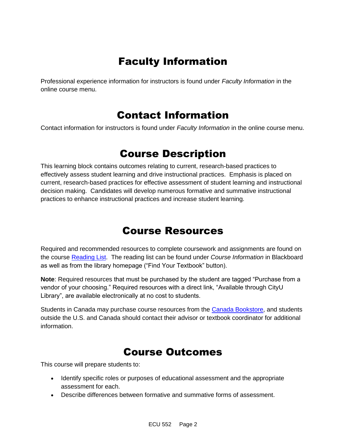### Faculty Information

Professional experience information for instructors is found under *Faculty Information* in the online course menu.

### Contact Information

Contact information for instructors is found under *Faculty Information* in the online course menu.

### Course Description

This learning block contains outcomes relating to current, research-based practices to effectively assess student learning and drive instructional practices. Emphasis is placed on current, research-based practices for effective assessment of student learning and instructional decision making. Candidates will develop numerous formative and summative instructional practices to enhance instructional practices and increase student learning.

### Course Resources

Required and recommended resources to complete coursework and assignments are found on the course [Reading List.](https://cityu.alma.exlibrisgroup.com/leganto/login?auth=SAML) The reading list can be found under *Course Information* in Blackboard as well as from the library homepage ("Find Your Textbook" button).

**Note**: Required resources that must be purchased by the student are tagged "Purchase from a vendor of your choosing." Required resources with a direct link, "Available through CityU Library", are available electronically at no cost to students.

Students in Canada may purchase course resources from the [Canada Bookstore,](https://www.cityubookstore.ca/index.asp) and students outside the U.S. and Canada should contact their advisor or textbook coordinator for additional information.

### Course Outcomes

This course will prepare students to:

- Identify specific roles or purposes of educational assessment and the appropriate assessment for each.
- Describe differences between formative and summative forms of assessment.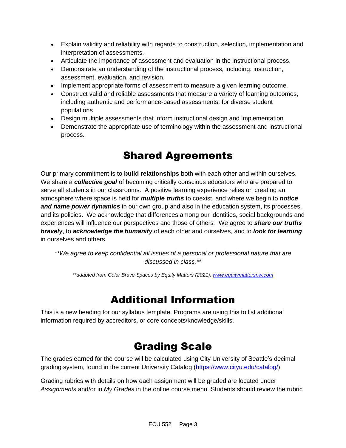- Explain validity and reliability with regards to construction, selection, implementation and interpretation of assessments.
- Articulate the importance of assessment and evaluation in the instructional process.
- Demonstrate an understanding of the instructional process, including: instruction, assessment, evaluation, and revision.
- Implement appropriate forms of assessment to measure a given learning outcome.
- Construct valid and reliable assessments that measure a variety of learning outcomes, including authentic and performance-based assessments, for diverse student populations
- Design multiple assessments that inform instructional design and implementation
- Demonstrate the appropriate use of terminology within the assessment and instructional process.

## Shared Agreements

Our primary commitment is to **build relationships** both with each other and within ourselves. We share a *collective goal* of becoming critically conscious educators who are prepared to serve all students in our classrooms. A positive learning experience relies on creating an atmosphere where space is held for *multiple truths* to coexist, and where we begin to *notice and name power dynamics* in our own group and also in the education system, its processes, and its policies. We acknowledge that differences among our identities, social backgrounds and experiences will influence our perspectives and those of others*.* We agree to *share our truths bravely*, to *acknowledge the humanity* of each other and ourselves, and to *look for learning* in ourselves and others.

*\*\*We agree to keep confidential all issues of a personal or professional nature that are discussed in class.\*\**

*\*\*adapted from Color Brave Spaces by Equity Matters (2021)[. www.equitymattersnw.com](http://www.equitymattersnw.com/)*

### Additional Information

This is a new heading for our syllabus template. Programs are using this to list additional information required by accreditors, or core concepts/knowledge/skills.

# Grading Scale

The grades earned for the course will be calculated using City University of Seattle's decimal grading system, found in the current University Catalog [\(https://www.cityu.edu/catalog/\)](https://www.cityu.edu/catalog/).

Grading rubrics with details on how each assignment will be graded are located under *Assignments* and/or in *My Grades* in the online course menu. Students should review the rubric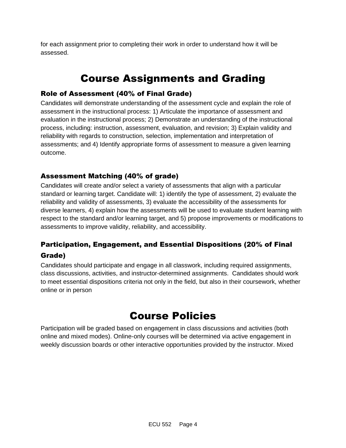for each assignment prior to completing their work in order to understand how it will be assessed.

## Course Assignments and Grading

#### Role of Assessment (40% of Final Grade)

Candidates will demonstrate understanding of the assessment cycle and explain the role of assessment in the instructional process: 1) Articulate the importance of assessment and evaluation in the instructional process; 2) Demonstrate an understanding of the instructional process, including: instruction, assessment, evaluation, and revision; 3) Explain validity and reliability with regards to construction, selection, implementation and interpretation of assessments; and 4) Identify appropriate forms of assessment to measure a given learning outcome.

#### Assessment Matching (40% of grade)

Candidates will create and/or select a variety of assessments that align with a particular standard or learning target. Candidate will: 1) identify the type of assessment, 2) evaluate the reliability and validity of assessments, 3) evaluate the accessibility of the assessments for diverse learners, 4) explain how the assessments will be used to evaluate student learning with respect to the standard and/or learning target, and 5) propose improvements or modifications to assessments to improve validity, reliability, and accessibility.

### Participation, Engagement, and Essential Dispositions (20% of Final Grade)

Candidates should participate and engage in all classwork, including required assignments, class discussions, activities, and instructor-determined assignments. Candidates should work to meet essential dispositions criteria not only in the field, but also in their coursework, whether online or in person

### Course Policies

Participation will be graded based on engagement in class discussions and activities (both online and mixed modes). Online-only courses will be determined via active engagement in weekly discussion boards or other interactive opportunities provided by the instructor. Mixed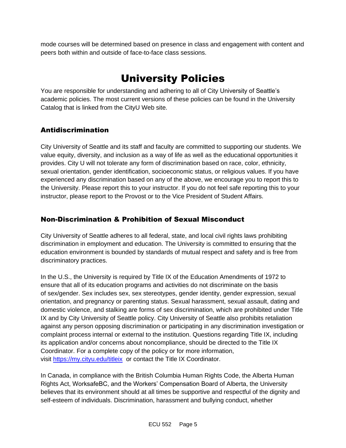mode courses will be determined based on presence in class and engagement with content and peers both within and outside of face-to-face class sessions.

# University Policies

You are responsible for understanding and adhering to all of City University of Seattle's academic policies. The most current versions of these policies can be found in the University Catalog that is linked from the CityU Web site.

#### Antidiscrimination

City University of Seattle and its staff and faculty are committed to supporting our students. We value equity, diversity, and inclusion as a way of life as well as the educational opportunities it provides. City U will not tolerate any form of discrimination based on race, color, ethnicity, sexual orientation, gender identification, socioeconomic status, or religious values. If you have experienced any discrimination based on any of the above, we encourage you to report this to the University. Please report this to your instructor. If you do not feel safe reporting this to your instructor, please report to the Provost or to the Vice President of Student Affairs.

#### Non-Discrimination & Prohibition of Sexual Misconduct

City University of Seattle adheres to all federal, state, and local civil rights laws prohibiting discrimination in employment and education. The University is committed to ensuring that the education environment is bounded by standards of mutual respect and safety and is free from discriminatory practices.

In the U.S., the University is required by Title IX of the Education Amendments of 1972 to ensure that all of its education programs and activities do not discriminate on the basis of sex/gender. Sex includes sex, sex stereotypes, gender identity, gender expression, sexual orientation, and pregnancy or parenting status. Sexual harassment, sexual assault, dating and domestic violence, and stalking are forms of sex discrimination, which are prohibited under Title IX and by City University of Seattle policy. City University of Seattle also prohibits retaliation against any person opposing discrimination or participating in any discrimination investigation or complaint process internal or external to the institution. Questions regarding Title IX, including its application and/or concerns about noncompliance, should be directed to the Title IX Coordinator. For a complete copy of the policy or for more information, visit [https://my.cityu.edu/titleix](https://nam11.safelinks.protection.outlook.com/?url=https%3A%2F%2Fmy.cityu.edu%2Ftitleix&data=04%7C01%7Claker%40cityu.edu%7Cbc558c70c10340dbaa2408d9172365a0%7Cb3fa96d9f5154662add763d854e39e63%7C1%7C0%7C637566263054321964%7CUnknown%7CTWFpbGZsb3d8eyJWIjoiMC4wLjAwMDAiLCJQIjoiV2luMzIiLCJBTiI6Ik1haWwiLCJXVCI6Mn0%3D%7C1000&sdata=GX0hgfxN2OMKFTKjD04gqvwwyU44mfnCmEdCtsEzab0%3D&reserved=0) or contact the Title IX Coordinator.

In Canada, in compliance with the British Columbia Human Rights Code, the Alberta Human Rights Act, WorksafeBC, and the Workers' Compensation Board of Alberta, the University believes that its environment should at all times be supportive and respectful of the dignity and self-esteem of individuals. Discrimination, harassment and bullying conduct, whether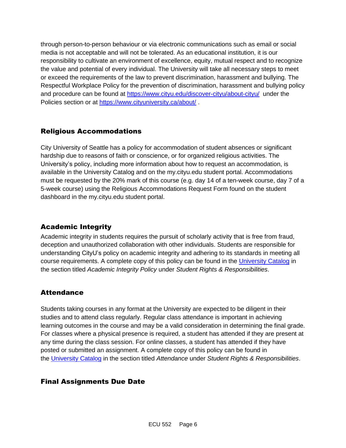through person-to-person behaviour or via electronic communications such as email or social media is not acceptable and will not be tolerated. As an educational institution, it is our responsibility to cultivate an environment of excellence, equity, mutual respect and to recognize the value and potential of every individual. The University will take all necessary steps to meet or exceed the requirements of the law to prevent discrimination, harassment and bullying. The Respectful Workplace Policy for the prevention of discrimination, harassment and bullying policy and procedure can be found at [https://www.cityu.edu/discover-cityu/about-cityu/](https://nam11.safelinks.protection.outlook.com/?url=https%3A%2F%2Fwww.cityu.edu%2Fdiscover-cityu%2Fabout-cityu%2F&data=04%7C01%7Claker%40cityu.edu%7Cbc558c70c10340dbaa2408d9172365a0%7Cb3fa96d9f5154662add763d854e39e63%7C1%7C0%7C637566263054331957%7CUnknown%7CTWFpbGZsb3d8eyJWIjoiMC4wLjAwMDAiLCJQIjoiV2luMzIiLCJBTiI6Ik1haWwiLCJXVCI6Mn0%3D%7C1000&sdata=7Q6QoqwuNLfeOJPewViWSeIwRIBy%2BoqDOiP8xSHYm78%3D&reserved=0) under the Policies section or at [https://www.cityuniversity.ca/about/](https://nam11.safelinks.protection.outlook.com/?url=https%3A%2F%2Fwww.cityuniversity.ca%2Fabout%2F&data=04%7C01%7Claker%40cityu.edu%7Cbc558c70c10340dbaa2408d9172365a0%7Cb3fa96d9f5154662add763d854e39e63%7C1%7C0%7C637566263054331957%7CUnknown%7CTWFpbGZsb3d8eyJWIjoiMC4wLjAwMDAiLCJQIjoiV2luMzIiLCJBTiI6Ik1haWwiLCJXVCI6Mn0%3D%7C1000&sdata=TX6bXEiU0CC6hC1mrTnKpuJywbR06qAj7RMu8QC4RUA%3D&reserved=0) .

#### Religious Accommodations

City University of Seattle has a policy for accommodation of student absences or significant hardship due to reasons of faith or conscience, or for organized religious activities. The University's policy, including more information about how to request an accommodation, is available in the University Catalog and on the my.cityu.edu student portal. Accommodations must be requested by the 20% mark of this course (e.g. day 14 of a ten-week course, day 7 of a 5-week course) using the Religious Accommodations Request Form found on the student dashboard in the my.cityu.edu student portal.

### Academic Integrity

Academic integrity in students requires the pursuit of scholarly activity that is free from fraud, deception and unauthorized collaboration with other individuals. Students are responsible for understanding CityU's policy on academic integrity and adhering to its standards in meeting all course requirements. A complete copy of this policy can be found in the [University Catalog](https://nam11.safelinks.protection.outlook.com/?url=http%3A%2F%2Fwww.cityu.edu%2Fcatalog%2F&data=04%7C01%7Claker%40cityu.edu%7Cbc558c70c10340dbaa2408d9172365a0%7Cb3fa96d9f5154662add763d854e39e63%7C1%7C0%7C637566263054341952%7CUnknown%7CTWFpbGZsb3d8eyJWIjoiMC4wLjAwMDAiLCJQIjoiV2luMzIiLCJBTiI6Ik1haWwiLCJXVCI6Mn0%3D%7C1000&sdata=aL6fsSyLtVzJgdrlE9PtZXb%2F3H6wCdrvPcw4zOoEYTI%3D&reserved=0) in the section titled *Academic Integrity Policy* under *Student Rights & Responsibilities*.

#### **Attendance**

Students taking courses in any format at the University are expected to be diligent in their studies and to attend class regularly. Regular class attendance is important in achieving learning outcomes in the course and may be a valid consideration in determining the final grade. For classes where a physical presence is required, a student has attended if they are present at any time during the class session. For online classes, a student has attended if they have posted or submitted an assignment. A complete copy of this policy can be found in the [University Catalog](https://nam11.safelinks.protection.outlook.com/?url=http%3A%2F%2Fwww.cityu.edu%2Fcatalog%2F&data=04%7C01%7Claker%40cityu.edu%7Cbc558c70c10340dbaa2408d9172365a0%7Cb3fa96d9f5154662add763d854e39e63%7C1%7C0%7C637566263054341952%7CUnknown%7CTWFpbGZsb3d8eyJWIjoiMC4wLjAwMDAiLCJQIjoiV2luMzIiLCJBTiI6Ik1haWwiLCJXVCI6Mn0%3D%7C1000&sdata=aL6fsSyLtVzJgdrlE9PtZXb%2F3H6wCdrvPcw4zOoEYTI%3D&reserved=0) in the section titled *Attendance* under *Student Rights & Responsibilities*.

#### Final Assignments Due Date